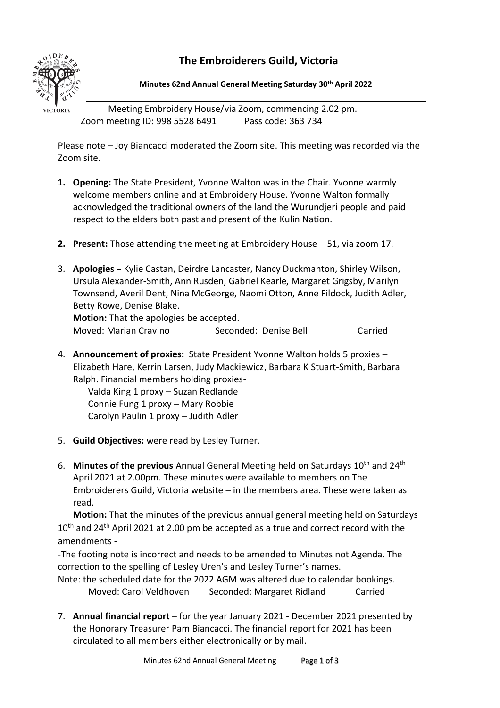# **The Embroiderers Guild, Victoria**



**Minutes 62nd Annual General Meeting Saturday 30th April 2022**

 Meeting Embroidery House/via Zoom, commencing 2.02 pm. Zoom meeting ID: 998 5528 6491 Pass code: 363 734

Please note – Joy Biancacci moderated the Zoom site. This meeting was recorded via the Zoom site.

- **1. Opening:** The State President, Yvonne Walton was in the Chair. Yvonne warmly welcome members online and at Embroidery House. Yvonne Walton formally acknowledged the traditional owners of the land the Wurundjeri people and paid respect to the elders both past and present of the Kulin Nation.
- **2. Present:** Those attending the meeting at Embroidery House 51, via zoom 17.
- 3. **Apologies** Kylie Castan, Deirdre Lancaster, Nancy Duckmanton, Shirley Wilson, Ursula Alexander-Smith, Ann Rusden, Gabriel Kearle, Margaret Grigsby, Marilyn Townsend, Averil Dent, Nina McGeorge, Naomi Otton, Anne Fildock, Judith Adler, Betty Rowe, Denise Blake.

**Motion:** That the apologies be accepted. Moved: Marian Cravino Seconded: Denise Bell Carried

4. **Announcement of proxies:** State President Yvonne Walton holds 5 proxies – Elizabeth Hare, Kerrin Larsen, Judy Mackiewicz, Barbara K Stuart-Smith, Barbara Ralph. Financial members holding proxies-

Valda King 1 proxy – Suzan Redlande Connie Fung 1 proxy – Mary Robbie Carolyn Paulin 1 proxy – Judith Adler

- 5. **Guild Objectives:** were read by Lesley Turner.
- 6. **Minutes of the previous** Annual General Meeting held on Saturdays 10th and 24th April 2021 at 2.00pm. These minutes were available to members on The Embroiderers Guild, Victoria website – in the members area. These were taken as read.

**Motion:** That the minutes of the previous annual general meeting held on Saturdays  $10<sup>th</sup>$  and 24<sup>th</sup> April 2021 at 2.00 pm be accepted as a true and correct record with the amendments -

-The footing note is incorrect and needs to be amended to Minutes not Agenda. The correction to the spelling of Lesley Uren's and Lesley Turner's names.

Note: the scheduled date for the 2022 AGM was altered due to calendar bookings. Moved: Carol Veldhoven Seconded: Margaret Ridland Carried

7. **Annual financial report** – for the year January 2021 - December 2021 presented by the Honorary Treasurer Pam Biancacci. The financial report for 2021 has been circulated to all members either electronically or by mail.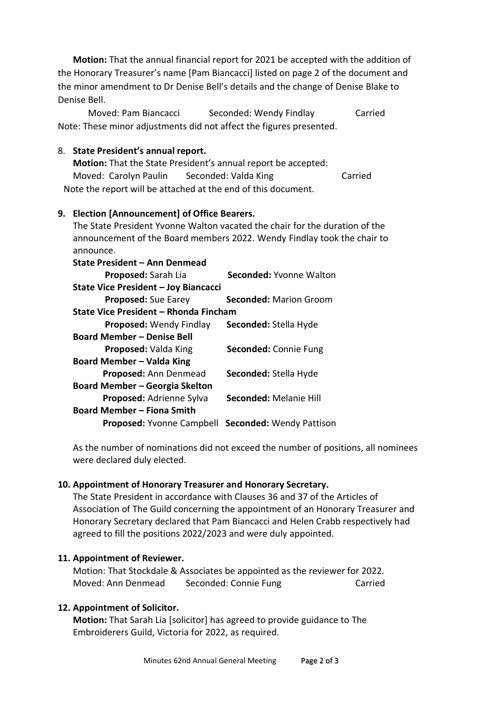**Motion:** That the annual financial report for 2021 be accepted with the addition of the Honorary Treasurer's name [Pam Biancacci] listed on page 2 of the document and the minor amendment to Dr Denise Bell's details and the change of Denise Blake to Denise Bell.

Moved: Pam Biancacci Seconded: Wendy Findlay Carried Note: These minor adjustments did not affect the figures presented.

## 8. **State President's annual report.**

**Motion:** That the State President's annual report be accepted: Moved: Carolyn Paulin Seconded: Valda King Carried Note the report will be attached at the end of this document.

## **9. Election [Announcement] of Office Bearers.**

The State President Yvonne Walton vacated the chair for the duration of the announcement of the Board members 2022. Wendy Findlay took the chair to announce.

| State President - Ann Denmead                             |                                |
|-----------------------------------------------------------|--------------------------------|
| Proposed: Sarah Lia                                       | <b>Seconded: Yvonne Walton</b> |
| State Vice President - Joy Biancacci                      |                                |
| <b>Proposed:</b> Sue Earey                                | <b>Seconded: Marion Groom</b>  |
| State Vice President – Rhonda Fincham                     |                                |
| <b>Proposed:</b> Wendy Findlay                            | Seconded: Stella Hyde          |
| <b>Board Member - Denise Bell</b>                         |                                |
| <b>Proposed:</b> Valda King                               | <b>Seconded: Connie Fung</b>   |
| <b>Board Member - Valda King</b>                          |                                |
| Proposed: Ann Denmead                                     | Seconded: Stella Hyde          |
| Board Member – Georgia Skelton                            |                                |
| <b>Proposed: Adrienne Sylva</b>                           | Seconded: Melanie Hill         |
| <b>Board Member – Fiona Smith</b>                         |                                |
| <b>Proposed:</b> Yvonne Campbell Seconded: Wendy Pattison |                                |

As the number of nominations did not exceed the number of positions, all nominees were declared duly elected.

#### **10. Appointment of Honorary Treasurer and Honorary Secretary.**

The State President in accordance with Clauses 36 and 37 of the Articles of Association of The Guild concerning the appointment of an Honorary Treasurer and Honorary Secretary declared that Pam Biancacci and Helen Crabb respectively had agreed to fill the positions 2022/2023 and were duly appointed.

## **11. Appointment of Reviewer.**

Motion: That Stockdale & Associates be appointed as the reviewer for 2022. Moved: Ann Denmead Seconded: Connie Fung Carried

## **12. Appointment of Solicitor.**

**Motion:** That Sarah Lia [solicitor] has agreed to provide guidance to The Embroiderers Guild, Victoria for 2022, as required.